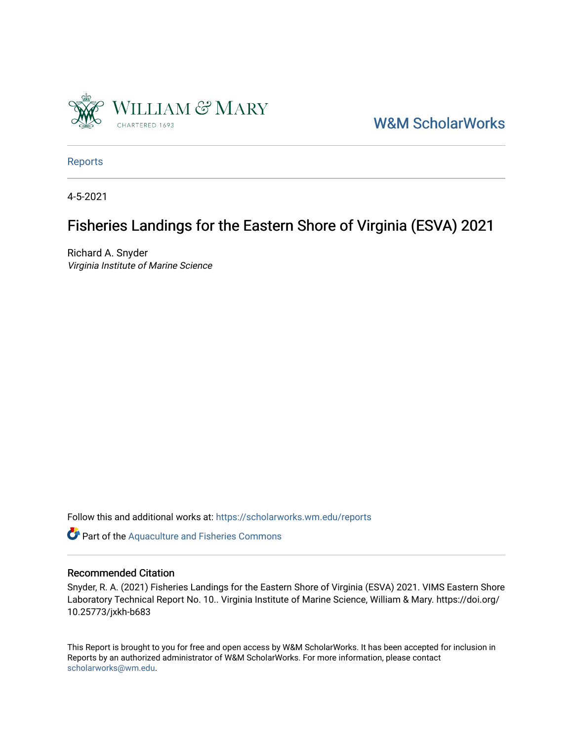

[W&M ScholarWorks](https://scholarworks.wm.edu/) 

[Reports](https://scholarworks.wm.edu/reports)

4-5-2021

## Fisheries Landings for the Eastern Shore of Virginia (ESVA) 2021

Richard A. Snyder Virginia Institute of Marine Science

Follow this and additional works at: [https://scholarworks.wm.edu/reports](https://scholarworks.wm.edu/reports?utm_source=scholarworks.wm.edu%2Freports%2F2657&utm_medium=PDF&utm_campaign=PDFCoverPages)

Part of the [Aquaculture and Fisheries Commons](http://network.bepress.com/hgg/discipline/78?utm_source=scholarworks.wm.edu%2Freports%2F2657&utm_medium=PDF&utm_campaign=PDFCoverPages)

#### Recommended Citation

Snyder, R. A. (2021) Fisheries Landings for the Eastern Shore of Virginia (ESVA) 2021. VIMS Eastern Shore Laboratory Technical Report No. 10.. Virginia Institute of Marine Science, William & Mary. https://doi.org/ 10.25773/jxkh-b683

This Report is brought to you for free and open access by W&M ScholarWorks. It has been accepted for inclusion in Reports by an authorized administrator of W&M ScholarWorks. For more information, please contact [scholarworks@wm.edu.](mailto:scholarworks@wm.edu)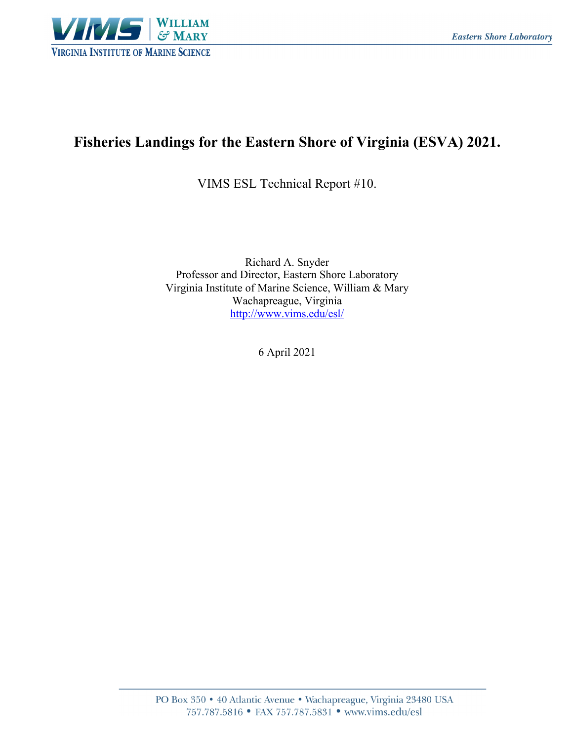

## **Fisheries Landings for the Eastern Shore of Virginia (ESVA) 2021.**

VIMS ESL Technical Report #10.

Richard A. Snyder Professor and Director, Eastern Shore Laboratory Virginia Institute of Marine Science, William & Mary Wachapreague, Virginia http://www.vims.edu/esl/

6 April 2021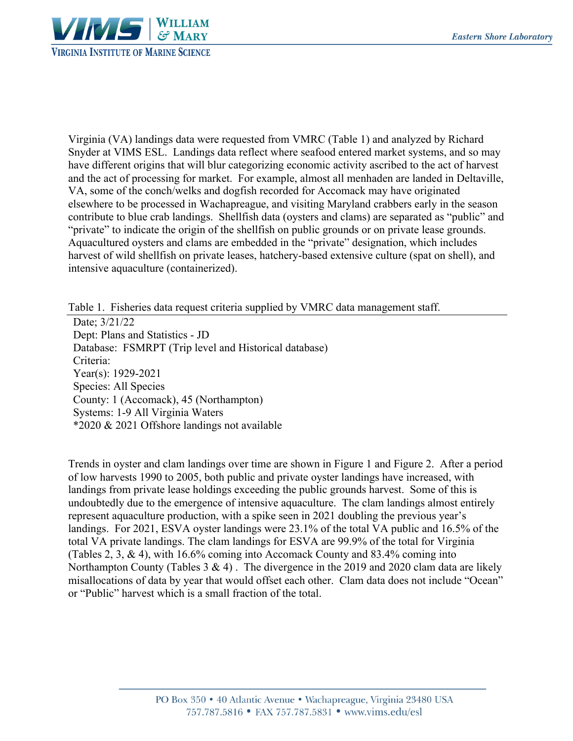

Virginia (VA) landings data were requested from VMRC (Table 1) and analyzed by Richard Snyder at VIMS ESL. Landings data reflect where seafood entered market systems, and so may have different origins that will blur categorizing economic activity ascribed to the act of harvest and the act of processing for market. For example, almost all menhaden are landed in Deltaville, VA, some of the conch/welks and dogfish recorded for Accomack may have originated elsewhere to be processed in Wachapreague, and visiting Maryland crabbers early in the season contribute to blue crab landings. Shellfish data (oysters and clams) are separated as "public" and "private" to indicate the origin of the shellfish on public grounds or on private lease grounds. Aquacultured oysters and clams are embedded in the "private" designation, which includes harvest of wild shellfish on private leases, hatchery-based extensive culture (spat on shell), and intensive aquaculture (containerized).

Table 1. Fisheries data request criteria supplied by VMRC data management staff.

Date; 3/21/22 Dept: Plans and Statistics - JD Database: FSMRPT (Trip level and Historical database) Criteria: Year(s): 1929-2021 Species: All Species County: 1 (Accomack), 45 (Northampton) Systems: 1-9 All Virginia Waters \*2020 & 2021 Offshore landings not available

Trends in oyster and clam landings over time are shown in Figure 1 and Figure 2. After a period of low harvests 1990 to 2005, both public and private oyster landings have increased, with landings from private lease holdings exceeding the public grounds harvest. Some of this is undoubtedly due to the emergence of intensive aquaculture. The clam landings almost entirely represent aquaculture production, with a spike seen in 2021 doubling the previous year's landings. For 2021, ESVA oyster landings were 23.1% of the total VA public and 16.5% of the total VA private landings. The clam landings for ESVA are 99.9% of the total for Virginia (Tables 2, 3, & 4), with 16.6% coming into Accomack County and 83.4% coming into Northampton County (Tables 3 & 4). The divergence in the 2019 and 2020 clam data are likely misallocations of data by year that would offset each other. Clam data does not include "Ocean" or "Public" harvest which is a small fraction of the total.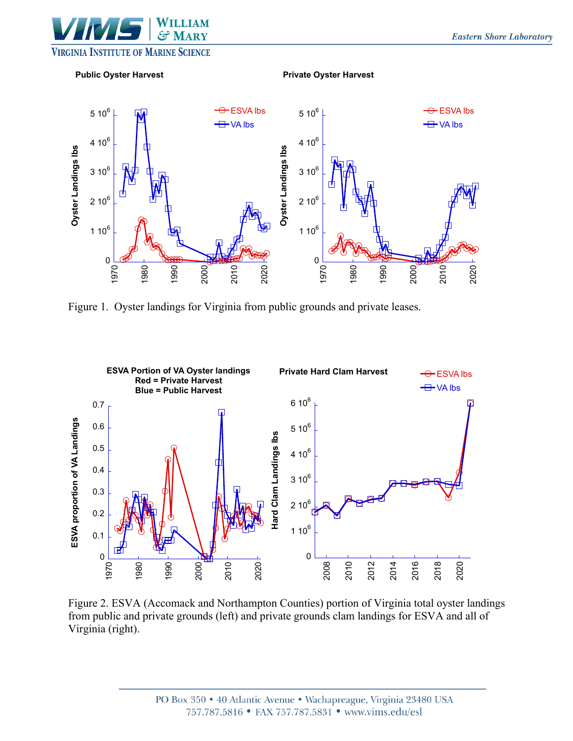



Figure 1. Oyster landings for Virginia from public grounds and private leases.



Figure 2. ESVA (Accomack and Northampton Counties) portion of Virginia total oyster landings from public and private grounds (left) and private grounds clam landings for ESVA and all of Virginia (right).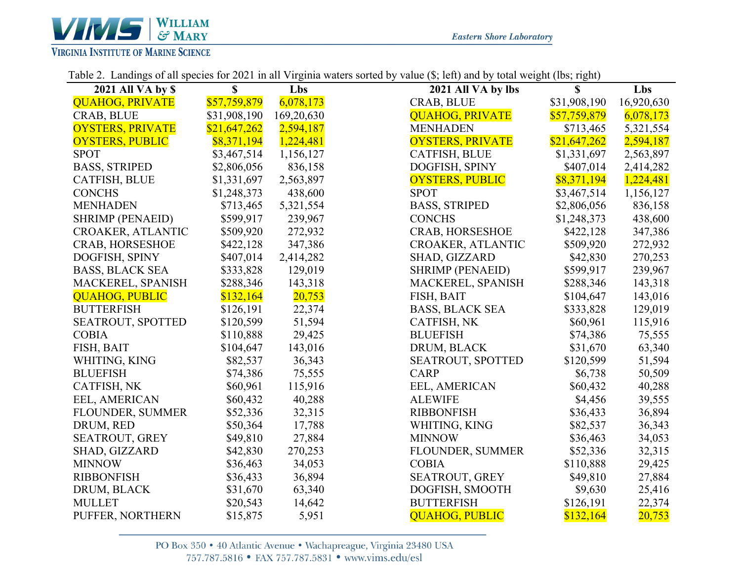

| <b>2021 All VA by \$</b> | $\mathbf S$  | Lbs        | 2021 All VA by lbs      | $\mathbf S$  | Lbs        |
|--------------------------|--------------|------------|-------------------------|--------------|------------|
| <b>QUAHOG, PRIVATE</b>   | \$57,759,879 | 6,078,173  | CRAB, BLUE              | \$31,908,190 | 16,920,630 |
| CRAB, BLUE               | \$31,908,190 | 169,20,630 | <b>QUAHOG, PRIVATE</b>  | \$57,759,879 | 6,078,173  |
| <b>OYSTERS, PRIVATE</b>  | \$21,647,262 | 2,594,187  | <b>MENHADEN</b>         | \$713,465    | 5,321,554  |
| <b>OYSTERS, PUBLIC</b>   | \$8,371,194  | 1,224,481  | <b>OYSTERS, PRIVATE</b> | \$21,647,262 | 2,594,187  |
| <b>SPOT</b>              | \$3,467,514  | 1,156,127  | <b>CATFISH, BLUE</b>    | \$1,331,697  | 2,563,897  |
| <b>BASS, STRIPED</b>     | \$2,806,056  | 836,158    | DOGFISH, SPINY          | \$407,014    | 2,414,282  |
| <b>CATFISH, BLUE</b>     | \$1,331,697  | 2,563,897  | <b>OYSTERS, PUBLIC</b>  | \$8,371,194  | 1,224,481  |
| <b>CONCHS</b>            | \$1,248,373  | 438,600    | <b>SPOT</b>             | \$3,467,514  | 1,156,127  |
| <b>MENHADEN</b>          | \$713,465    | 5,321,554  | <b>BASS, STRIPED</b>    | \$2,806,056  | 836,158    |
| <b>SHRIMP (PENAEID)</b>  | \$599,917    | 239,967    | <b>CONCHS</b>           | \$1,248,373  | 438,600    |
| CROAKER, ATLANTIC        | \$509,920    | 272,932    | CRAB, HORSESHOE         | \$422,128    | 347,386    |
| <b>CRAB, HORSESHOE</b>   | \$422,128    | 347,386    | CROAKER, ATLANTIC       | \$509,920    | 272,932    |
| DOGFISH, SPINY           | \$407,014    | 2,414,282  | SHAD, GIZZARD           | \$42,830     | 270,253    |
| <b>BASS, BLACK SEA</b>   | \$333,828    | 129,019    | <b>SHRIMP (PENAEID)</b> | \$599,917    | 239,967    |
| MACKEREL, SPANISH        | \$288,346    | 143,318    | MACKEREL, SPANISH       | \$288,346    | 143,318    |
| <b>QUAHOG, PUBLIC</b>    | \$132,164    | 20,753     | FISH, BAIT              | \$104,647    | 143,016    |
| <b>BUTTERFISH</b>        | \$126,191    | 22,374     | <b>BASS, BLACK SEA</b>  | \$333,828    | 129,019    |
| SEATROUT, SPOTTED        | \$120,599    | 51,594     | CATFISH, NK             | \$60,961     | 115,916    |
| <b>COBIA</b>             | \$110,888    | 29,425     | <b>BLUEFISH</b>         | \$74,386     | 75,555     |
| FISH, BAIT               | \$104,647    | 143,016    | DRUM, BLACK             | \$31,670     | 63,340     |
| WHITING, KING            | \$82,537     | 36,343     | SEATROUT, SPOTTED       | \$120,599    | 51,594     |
| <b>BLUEFISH</b>          | \$74,386     | 75,555     | <b>CARP</b>             | \$6,738      | 50,509     |
| CATFISH, NK              | \$60,961     | 115,916    | EEL, AMERICAN           | \$60,432     | 40,288     |
| EEL, AMERICAN            | \$60,432     | 40,288     | <b>ALEWIFE</b>          | \$4,456      | 39,555     |
| <b>FLOUNDER, SUMMER</b>  | \$52,336     | 32,315     | <b>RIBBONFISH</b>       | \$36,433     | 36,894     |
| DRUM, RED                | \$50,364     | 17,788     | WHITING, KING           | \$82,537     | 36,343     |
| SEATROUT, GREY           | \$49,810     | 27,884     | <b>MINNOW</b>           | \$36,463     | 34,053     |
| SHAD, GIZZARD            | \$42,830     | 270,253    | FLOUNDER, SUMMER        | \$52,336     | 32,315     |
| <b>MINNOW</b>            | \$36,463     | 34,053     | <b>COBIA</b>            | \$110,888    | 29,425     |
| <b>RIBBONFISH</b>        | \$36,433     | 36,894     | SEATROUT, GREY          | \$49,810     | 27,884     |
| DRUM, BLACK              | \$31,670     | 63,340     | DOGFISH, SMOOTH         | \$9,630      | 25,416     |
| <b>MULLET</b>            | \$20,543     | 14,642     | <b>BUTTERFISH</b>       | \$126,191    | 22,374     |
| PUFFER, NORTHERN         | \$15,875     | 5,951      | <b>OUAHOG, PUBLIC</b>   | \$132,164    | 20,753     |

Table 2. Landings of all species for 2021 in all Virginia waters sorted by value (\$; left) and by total weight (lbs; right)

PO Box 350 · 40 Atlantic Avenue · Wachapreague, Virginia 23480 USA 757.787.5816 • FAX 757.787.5831 • www.vims.edu/esl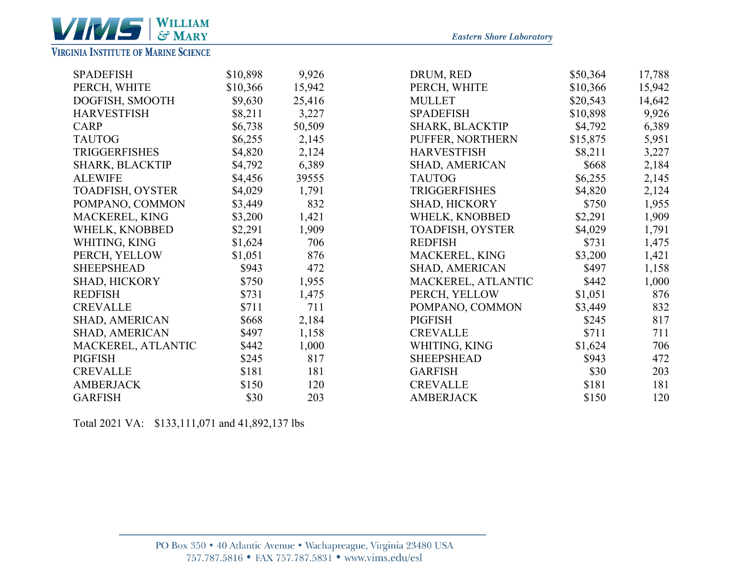

### **VIRGINIA INSTITUTE OF MARINE SCIENCE**

| <b>SPADEFISH</b>        | \$10,898 | 9,926  | DRUM, RED             | \$50,364 | 17,788 |
|-------------------------|----------|--------|-----------------------|----------|--------|
| PERCH, WHITE            | \$10,366 | 15,942 | PERCH, WHITE          | \$10,366 | 15,942 |
| DOGFISH, SMOOTH         | \$9,630  | 25,416 | <b>MULLET</b>         | \$20,543 | 14,642 |
| <b>HARVESTFISH</b>      | \$8,211  | 3,227  | <b>SPADEFISH</b>      | \$10,898 | 9,926  |
| <b>CARP</b>             | \$6,738  | 50,509 | SHARK, BLACKTIP       | \$4,792  | 6,389  |
| <b>TAUTOG</b>           | \$6,255  | 2,145  | PUFFER, NORTHERN      | \$15,875 | 5,951  |
| <b>TRIGGERFISHES</b>    | \$4,820  | 2,124  | <b>HARVESTFISH</b>    | \$8,211  | 3,227  |
| SHARK, BLACKTIP         | \$4,792  | 6,389  | SHAD, AMERICAN        | \$668    | 2,184  |
| <b>ALEWIFE</b>          | \$4,456  | 39555  | <b>TAUTOG</b>         | \$6,255  | 2,145  |
| <b>TOADFISH, OYSTER</b> | \$4,029  | 1,791  | <b>TRIGGERFISHES</b>  | \$4,820  | 2,124  |
| POMPANO, COMMON         | \$3,449  | 832    | SHAD, HICKORY         | \$750    | 1,955  |
| MACKEREL, KING          | \$3,200  | 1,421  | WHELK, KNOBBED        | \$2,291  | 1,909  |
| WHELK, KNOBBED          | \$2,291  | 1,909  | TOADFISH, OYSTER      | \$4,029  | 1,791  |
| WHITING, KING           | \$1,624  | 706    | <b>REDFISH</b>        | \$731    | 1,475  |
| PERCH, YELLOW           | \$1,051  | 876    | MACKEREL, KING        | \$3,200  | 1,421  |
| <b>SHEEPSHEAD</b>       | \$943    | 472    | <b>SHAD, AMERICAN</b> | \$497    | 1,158  |
| <b>SHAD, HICKORY</b>    | \$750    | 1,955  | MACKEREL, ATLANTIC    | \$442    | 1,000  |
| <b>REDFISH</b>          | \$731    | 1,475  | PERCH, YELLOW         | \$1,051  | 876    |
| <b>CREVALLE</b>         | \$711    | 711    | POMPANO, COMMON       | \$3,449  | 832    |
| <b>SHAD, AMERICAN</b>   | \$668    | 2,184  | <b>PIGFISH</b>        | \$245    | 817    |
| SHAD, AMERICAN          | \$497    | 1,158  | <b>CREVALLE</b>       | \$711    | 711    |
| MACKEREL, ATLANTIC      | \$442    | 1,000  | WHITING, KING         | \$1,624  | 706    |
| <b>PIGFISH</b>          | \$245    | 817    | <b>SHEEPSHEAD</b>     | \$943    | 472    |
| <b>CREVALLE</b>         | \$181    | 181    | <b>GARFISH</b>        | \$30     | 203    |
| <b>AMBERJACK</b>        | \$150    | 120    | <b>CREVALLE</b>       | \$181    | 181    |
| <b>GARFISH</b>          | \$30     | 203    | <b>AMBERJACK</b>      | \$150    | 120    |

Total 2021 VA : \$133,111,071 and 41,892,137 lbs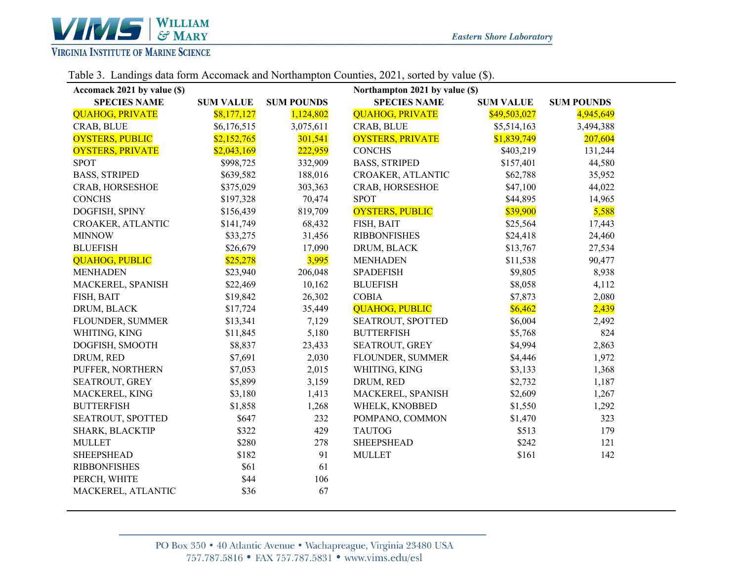

#### Table 3. Landings data form Accomack and Northampton Counties, 2021, sorted by value (\$).

| Accomack 2021 by value (\$) |                  |                   | Northampton 2021 by value (\$) |                  |                   |
|-----------------------------|------------------|-------------------|--------------------------------|------------------|-------------------|
| <b>SPECIES NAME</b>         | <b>SUM VALUE</b> | <b>SUM POUNDS</b> | <b>SPECIES NAME</b>            | <b>SUM VALUE</b> | <b>SUM POUNDS</b> |
| <b>QUAHOG, PRIVATE</b>      | \$8,177,127      | 1,124,802         | <b>QUAHOG, PRIVATE</b>         | \$49,503,027     | 4,945,649         |
| CRAB, BLUE                  | \$6,176,515      | 3,075,611         | CRAB, BLUE                     | \$5,514,163      | 3,494,388         |
| <b>OYSTERS, PUBLIC</b>      | \$2,152,765      | 301,541           | <b>OYSTERS, PRIVATE</b>        | \$1,839,749      | 207,604           |
| <b>OYSTERS, PRIVATE</b>     | \$2,043,169      | 222,959           | <b>CONCHS</b>                  | \$403,219        | 131,244           |
| <b>SPOT</b>                 | \$998,725        | 332,909           | <b>BASS, STRIPED</b>           | \$157,401        | 44,580            |
| <b>BASS, STRIPED</b>        | \$639,582        | 188,016           | CROAKER, ATLANTIC              | \$62,788         | 35,952            |
| CRAB, HORSESHOE             | \$375,029        | 303,363           | CRAB, HORSESHOE                | \$47,100         | 44,022            |
| <b>CONCHS</b>               | \$197,328        | 70,474            | <b>SPOT</b>                    | \$44,895         | 14,965            |
| DOGFISH, SPINY              | \$156,439        | 819,709           | <b>OYSTERS, PUBLIC</b>         | \$39,900         | 5,588             |
| CROAKER, ATLANTIC           | \$141,749        | 68,432            | FISH, BAIT                     | \$25,564         | 17,443            |
| <b>MINNOW</b>               | \$33,275         | 31,456            | <b>RIBBONFISHES</b>            | \$24,418         | 24,460            |
| <b>BLUEFISH</b>             | \$26,679         | 17,090            | DRUM, BLACK                    | \$13,767         | 27,534            |
| <b>QUAHOG, PUBLIC</b>       | \$25,278         | 3,995             | <b>MENHADEN</b>                | \$11,538         | 90,477            |
| <b>MENHADEN</b>             | \$23,940         | 206,048           | <b>SPADEFISH</b>               | \$9,805          | 8,938             |
| MACKEREL, SPANISH           | \$22,469         | 10,162            | <b>BLUEFISH</b>                | \$8,058          | 4,112             |
| FISH, BAIT                  | \$19,842         | 26,302            | <b>COBIA</b>                   | \$7,873          | 2,080             |
| DRUM, BLACK                 | \$17,724         | 35,449            | <b>QUAHOG, PUBLIC</b>          | \$6,462          | 2,439             |
| FLOUNDER, SUMMER            | \$13,341         | 7,129             | SEATROUT, SPOTTED              | \$6,004          | 2,492             |
| WHITING, KING               | \$11,845         | 5,180             | <b>BUTTERFISH</b>              | \$5,768          | 824               |
| DOGFISH, SMOOTH             | \$8,837          | 23,433            | SEATROUT, GREY                 | \$4,994          | 2,863             |
| DRUM, RED                   | \$7,691          | 2,030             | FLOUNDER, SUMMER               | \$4,446          | 1,972             |
| PUFFER, NORTHERN            | \$7,053          | 2,015             | WHITING, KING                  | \$3,133          | 1,368             |
| SEATROUT, GREY              | \$5,899          | 3,159             | DRUM, RED                      | \$2,732          | 1,187             |
| MACKEREL, KING              | \$3,180          | 1,413             | MACKEREL, SPANISH              | \$2,609          | 1,267             |
| <b>BUTTERFISH</b>           | \$1,858          | 1,268             | WHELK, KNOBBED                 | \$1,550          | 1,292             |
| SEATROUT, SPOTTED           | \$647            | 232               | POMPANO, COMMON                | \$1,470          | 323               |
| SHARK, BLACKTIP             | \$322            | 429               | <b>TAUTOG</b>                  | \$513            | 179               |
| <b>MULLET</b>               | \$280            | 278               | <b>SHEEPSHEAD</b>              | \$242            | 121               |
| <b>SHEEPSHEAD</b>           | \$182            | 91                | <b>MULLET</b>                  | \$161            | 142               |
| <b>RIBBONFISHES</b>         | \$61             | 61                |                                |                  |                   |
| PERCH, WHITE                | \$44             | 106               |                                |                  |                   |
| MACKEREL, ATLANTIC          | \$36             | 67                |                                |                  |                   |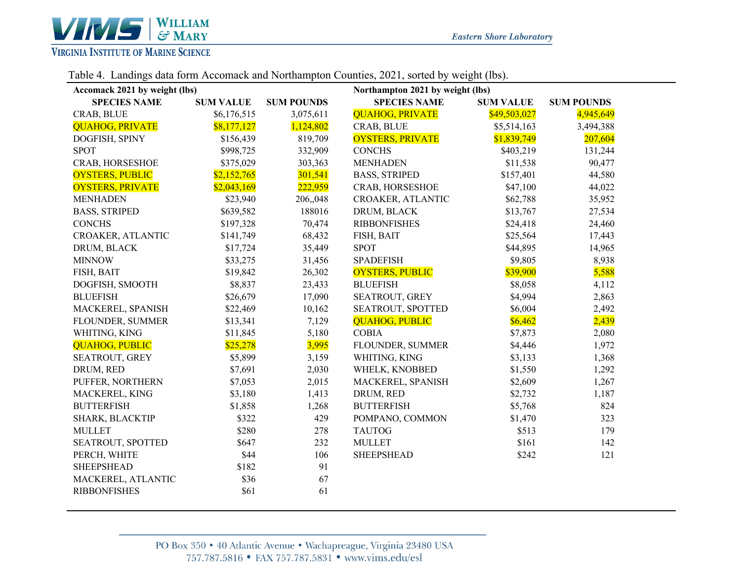

#### Table 4. Landings data form Accomack and Northampton Counties, 2021, sorted by weight (lbs).

| Accomack 2021 by weight (lbs) |                  |                   | Northampton 2021 by weight (lbs) |                  |                   |  |
|-------------------------------|------------------|-------------------|----------------------------------|------------------|-------------------|--|
| <b>SPECIES NAME</b>           | <b>SUM VALUE</b> | <b>SUM POUNDS</b> | <b>SPECIES NAME</b>              | <b>SUM VALUE</b> | <b>SUM POUNDS</b> |  |
| CRAB, BLUE                    | \$6,176,515      | 3,075,611         | <b>QUAHOG, PRIVATE</b>           | \$49,503,027     | 4,945,649         |  |
| <b>QUAHOG, PRIVATE</b>        | \$8,177,127      | 1,124,802         | CRAB, BLUE                       | \$5,514,163      | 3,494,388         |  |
| DOGFISH, SPINY                | \$156,439        | 819,709           | <b>OYSTERS, PRIVATE</b>          | \$1,839,749      | 207,604           |  |
| <b>SPOT</b>                   | \$998,725        | 332,909           | <b>CONCHS</b>                    | \$403,219        | 131,244           |  |
| CRAB, HORSESHOE               | \$375,029        | 303,363           | <b>MENHADEN</b>                  | \$11,538         | 90,477            |  |
| <b>OYSTERS, PUBLIC</b>        | \$2,152,765      | 301,541           | <b>BASS, STRIPED</b>             | \$157,401        | 44,580            |  |
| <b>OYSTERS, PRIVATE</b>       | \$2,043,169      | 222,959           | CRAB, HORSESHOE                  | \$47,100         | 44,022            |  |
| <b>MENHADEN</b>               | \$23,940         | 206,,048          | CROAKER, ATLANTIC                | \$62,788         | 35,952            |  |
| <b>BASS, STRIPED</b>          | \$639,582        | 188016            | DRUM, BLACK                      | \$13,767         | 27,534            |  |
| <b>CONCHS</b>                 | \$197,328        | 70,474            | <b>RIBBONFISHES</b>              | \$24,418         | 24,460            |  |
| CROAKER, ATLANTIC             | \$141,749        | 68,432            | FISH, BAIT                       | \$25,564         | 17,443            |  |
| DRUM, BLACK                   | \$17,724         | 35,449            | <b>SPOT</b>                      | \$44,895         | 14,965            |  |
| <b>MINNOW</b>                 | \$33,275         | 31,456            | <b>SPADEFISH</b>                 | \$9,805          | 8,938             |  |
| FISH, BAIT                    | \$19,842         | 26,302            | <b>OYSTERS, PUBLIC</b>           | \$39,900         | 5,588             |  |
| DOGFISH, SMOOTH               | \$8,837          | 23,433            | <b>BLUEFISH</b>                  | \$8,058          | 4,112             |  |
| <b>BLUEFISH</b>               | \$26,679         | 17,090            | SEATROUT, GREY                   | \$4,994          | 2,863             |  |
| MACKEREL, SPANISH             | \$22,469         | 10,162            | SEATROUT, SPOTTED                | \$6,004          | 2,492             |  |
| FLOUNDER, SUMMER              | \$13,341         | 7,129             | <b>QUAHOG, PUBLIC</b>            | \$6,462          | 2,439             |  |
| WHITING, KING                 | \$11,845         | 5,180             | <b>COBIA</b>                     | \$7,873          | 2,080             |  |
| <b>QUAHOG, PUBLIC</b>         | \$25,278         | 3,995             | FLOUNDER, SUMMER                 | \$4,446          | 1,972             |  |
| SEATROUT, GREY                | \$5,899          | 3,159             | WHITING, KING                    | \$3,133          | 1,368             |  |
| DRUM, RED                     | \$7,691          | 2,030             | WHELK, KNOBBED                   | \$1,550          | 1,292             |  |
| PUFFER, NORTHERN              | \$7,053          | 2,015             | MACKEREL, SPANISH                | \$2,609          | 1,267             |  |
| MACKEREL, KING                | \$3,180          | 1,413             | DRUM, RED                        | \$2,732          | 1,187             |  |
| <b>BUTTERFISH</b>             | \$1,858          | 1,268             | <b>BUTTERFISH</b>                | \$5,768          | 824               |  |
| SHARK, BLACKTIP               | \$322            | 429               | POMPANO, COMMON                  | \$1,470          | 323               |  |
| <b>MULLET</b>                 | \$280            | 278               | <b>TAUTOG</b>                    | \$513            | 179               |  |
| SEATROUT, SPOTTED             | \$647            | 232               | <b>MULLET</b>                    | \$161            | 142               |  |
| PERCH, WHITE                  | \$44             | 106               | <b>SHEEPSHEAD</b>                | \$242            | 121               |  |
| <b>SHEEPSHEAD</b>             | \$182            | 91                |                                  |                  |                   |  |
| MACKEREL, ATLANTIC            | \$36             | 67                |                                  |                  |                   |  |
| <b>RIBBONFISHES</b>           | \$61             | 61                |                                  |                  |                   |  |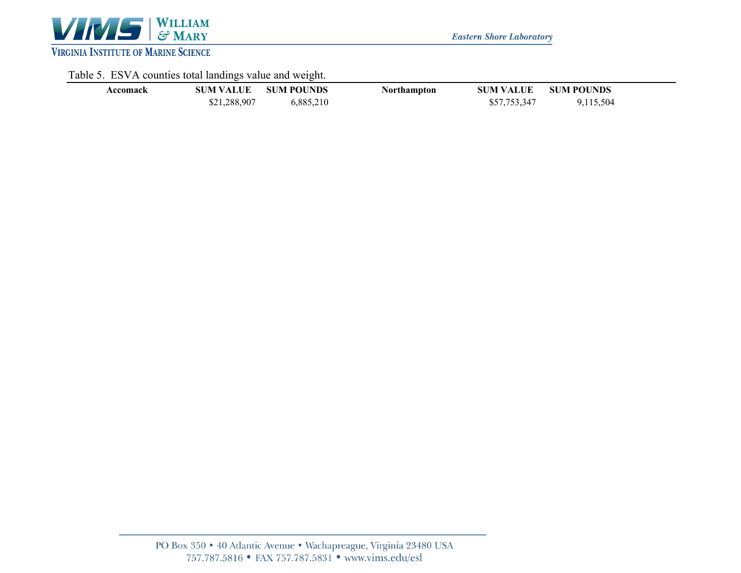

**Eastern Shore Laboratory** 

# Table 5. ESVA counties total landings value and weight.

|          |                  | -                 |             |                  |                   |  |
|----------|------------------|-------------------|-------------|------------------|-------------------|--|
| Accomack | <b>SUM VALUE</b> | <b>SUM POUNDS</b> | Northampton | <b>SUM VALUE</b> | <b>SUM POUNDS</b> |  |
|          | \$21,288,907     | 6,885,210         |             | \$57,753,347     | 9,115,504         |  |